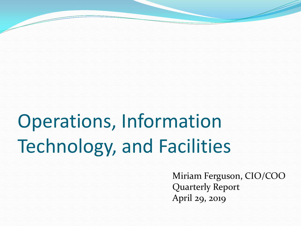# Operations, Information Technology, and Facilities

Miriam Ferguson, CIO/COO Quarterly Report April 29, 2019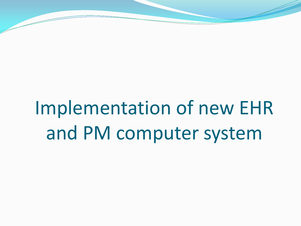## Implementation of new EHR and PM computer system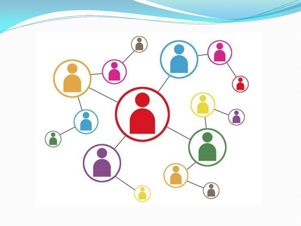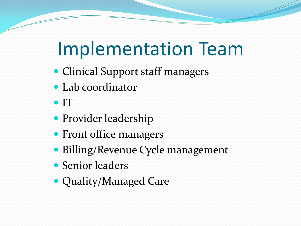## Implementation Team

- Clinical Support staff managers
- Lab coordinator
- $\bullet$  IT
- **Provider leadership**
- Front office managers
- Billing/Revenue Cycle management
- Senior leaders
- Quality/Managed Care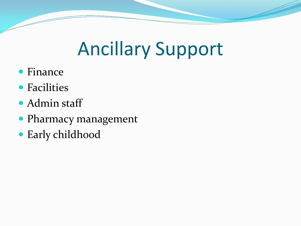## Ancillary Support

- Finance
- Facilities
- Admin staff
- Pharmacy management
- Early childhood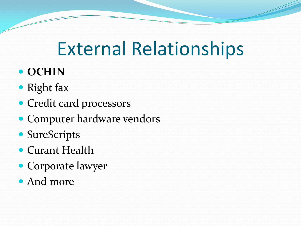#### External Relationships

- **OCHIN**
- Right fax
- Credit card processors
- Computer hardware vendors
- SureScripts
- Curant Health
- Corporate lawyer
- And more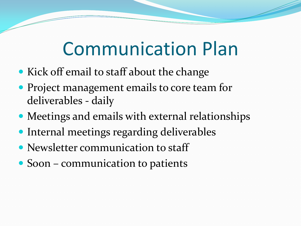#### Communication Plan

- Kick off email to staff about the change
- Project management emails to core team for deliverables - daily
- Meetings and emails with external relationships
- Internal meetings regarding deliverables
- Newsletter communication to staff
- Soon communication to patients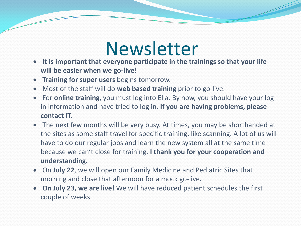#### Newsletter

- **It is important that everyone participate in the trainings so that your life will be easier when we go-live!**
- **Training for super users** begins tomorrow.
- Most of the staff will do **web based training** prior to go-live.
- For **online training**, you must log into Ella. By now, you should have your log in information and have tried to log in. **If you are having problems, please contact IT.**
- The next few months will be very busy. At times, you may be shorthanded at the sites as some staff travel for specific training, like scanning. A lot of us will have to do our regular jobs and learn the new system all at the same time because we can't close for training. **I thank you for your cooperation and understanding.**
- On **July 22**, we will open our Family Medicine and Pediatric Sites that morning and close that afternoon for a mock go-live.
- **On July 23, we are live!** We will have reduced patient schedules the first couple of weeks.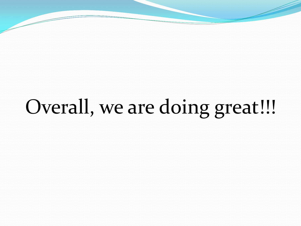# Overall, we are doing great!!!